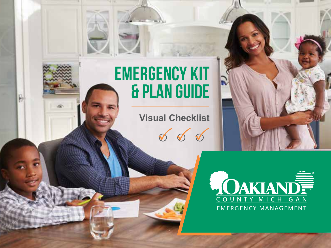# Emergency kit & Plan guide

R

**Visual Checklist**

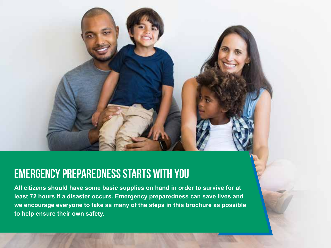# Emergency Preparedness Starts with You

**All citizens should have some basic supplies on hand in order to survive for at least 72 hours if a disaster occurs. Emergency preparedness can save lives and we encourage everyone to take as many of the steps in this brochure as possible to help ensure their own safety.**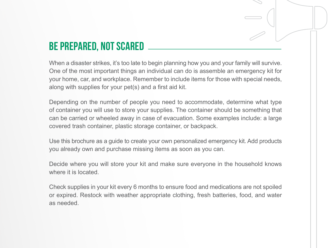# Be Prepared, not scared

When a disaster strikes, it's too late to begin planning how you and your family will survive. One of the most important things an individual can do is assemble an emergency kit for your home, car, and workplace. Remember to include items for those with special needs, along with supplies for your pet(s) and a first aid kit.

Depending on the number of people you need to accommodate, determine what type of container you will use to store your supplies. The container should be something that can be carried or wheeled away in case of evacuation. Some examples include: a large covered trash container, plastic storage container, or backpack.

Use this brochure as a guide to create your own personalized emergency kit. Add products you already own and purchase missing items as soon as you can.

Decide where you will store your kit and make sure everyone in the household knows where it is located.

Check supplies in your kit every 6 months to ensure food and medications are not spoiled or expired. Restock with weather appropriate clothing, fresh batteries, food, and water as needed.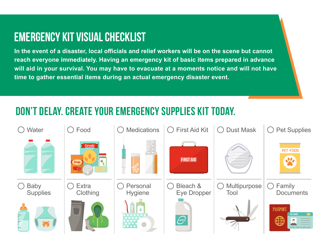# Emergency kit visual checklist

**In the event of a disaster, local officials and relief workers will be on the scene but cannot reach everyone immediately. Having an emergency kit of basic items prepared in advance will aid in your survival. You may have to evacuate at a moments notice and will not have time to gather essential items during an actual emergency disaster event.**

## Don't delay. create your emergency supplies kit today.

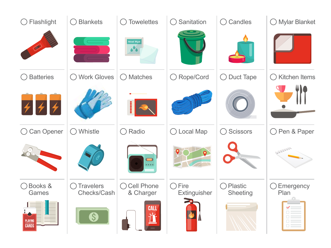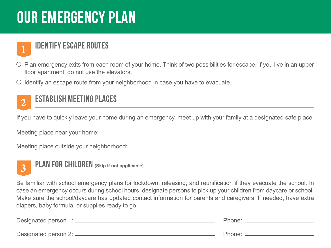# Our Emergency Plan

### Identify escape routes

- $\circ$  Plan emergency exits from each room of your home. Think of two possibilities for escape. If you live in an upper floor apartment, do not use the elevators.
- $\circ$  Identify an escape route from your neighborhood in case you have to evacuate.

#### Establish Meeting Places **2**

If you have to quickly leave your home during an emergency, meet up with your family at a designated safe place.

Meeting place near your home:

Meeting place outside your neighborhood:



**1**

Plan for children **(Skip if not applicable)**

Be familiar with school emergency plans for lockdown, releasing, and reunification if they evacuate the school. In case an emergency occurs during school hours, designate persons to pick up your children from daycare or school. Make sure the school/daycare has updated contact information for parents and caregivers. If needed, have extra diapers, baby formula, or supplies ready to go.

| Designated person 1: _____ | Phone: |
|----------------------------|--------|
| Designated person 2: ____  | Phone: |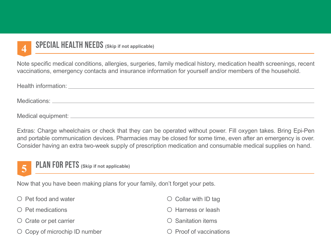

#### Special Health needs **(Skip if not applicable)**

Note specific medical conditions, allergies, surgeries, family medical history, medication health screenings, recent vaccinations, emergency contacts and insurance information for yourself and/or members of the household.

Health information:

Medications: <u>experience</u> and the contract of the contract of the contract of the contract of the contract of the contract of the contract of the contract of the contract of the contract of the contract of the contract of

Medical equipment:

Extras: Charge wheelchairs or check that they can be operated without power. Fill oxygen takes. Bring Epi-Pen and portable communication devices. Pharmacies may be closed for some time, even after an emergency is over. Consider having an extra two-week supply of prescription medication and consumable medical supplies on hand.



Now that you have been making plans for your family, don't forget your pets.

| $\bigcirc$ Pet food and water       | $\circ$ Collar with ID tag    |
|-------------------------------------|-------------------------------|
| $\bigcirc$ Pet medications          | ◯ Harness or leash            |
| $\circ$ Crate or pet carrier        | $\circ$ Sanitation items      |
| $\circ$ Copy of microchip ID number | $\circ$ Proof of vaccinations |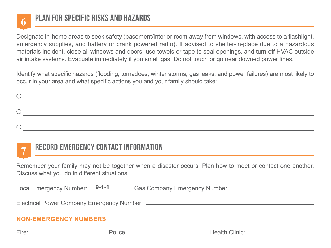

### Plan for specific risks and hazards

Designate in-home areas to seek safety (basement/interior room away from windows, with access to a flashlight, emergency supplies, and battery or crank powered radio). If advised to shelter-in-place due to a hazardous materials incident, close all windows and doors, use towels or tape to seal openings, and turn off HVAC outside air intake systems. Evacuate immediately if you smell gas. Do not touch or go near downed power lines.

Identify what specific hazards (flooding, tornadoes, winter storms, gas leaks, and power failures) are most likely to occur in your area and what specific actions you and your family should take:

#### Record emergency contact information **7**

Remember your family may not be together when a disaster occurs. Plan how to meet or contact one another. Discuss what you do in different situations.

Local Emergency Number: Gas Company Emergency Number: Local Emergency Number: 9-1-1

Electrical Power Company Emergency Number:

#### **NON-EMERGENCY NUMBERS**

Fire: Police: Health Clinic: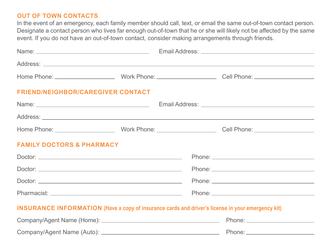#### **OUT OF TOWN CONTACTS**

In the event of an emergency, each family member should call, text, or email the same out-of-town contact person. Designate a contact person who lives far enough out-of-town that he or she will likely not be affected by the same event. If you do not have an out-of-town contact, consider making arrangements through friends.

| <b>FRIEND/NEIGHBOR/CAREGIVER CONTACT</b>                                                                 |  |  |  |  |  |
|----------------------------------------------------------------------------------------------------------|--|--|--|--|--|
|                                                                                                          |  |  |  |  |  |
|                                                                                                          |  |  |  |  |  |
|                                                                                                          |  |  |  |  |  |
| <b>FAMILY DOCTORS &amp; PHARMACY</b>                                                                     |  |  |  |  |  |
|                                                                                                          |  |  |  |  |  |
|                                                                                                          |  |  |  |  |  |
|                                                                                                          |  |  |  |  |  |
|                                                                                                          |  |  |  |  |  |
| <b>INSURANCE INFORMATION (Have a copy of insurance cards and driver's license in your emergency kit)</b> |  |  |  |  |  |
|                                                                                                          |  |  |  |  |  |

Company/Agent Name (Auto): Phone: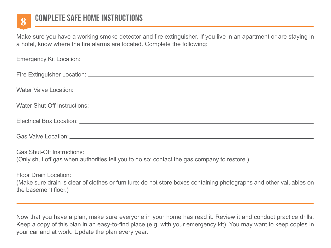

# Complete safe home instructions **8**

Make sure you have a working smoke detector and fire extinguisher. If you live in an apartment or are staying in a hotel, know where the fire alarms are located. Complete the following:

| (Only shut off gas when authorities tell you to do so; contact the gas company to restore.)                                                 |
|---------------------------------------------------------------------------------------------------------------------------------------------|
| (Make sure drain is clear of clothes or furniture; do not store boxes containing photographs and other valuables on<br>the basement floor.) |

Now that you have a plan, make sure everyone in your home has read it. Review it and conduct practice drills. Keep a copy of this plan in an easy-to-find place (e.g. with your emergency kit). You may want to keep copies in your car and at work. Update the plan every year.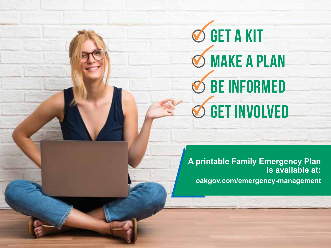**S GET A KIT S** MAKE A PLAN **be informed**  $\bigcirc$  get involved

**A printable Family Emergency Plan is available at: oakgov.com/emergency-management**